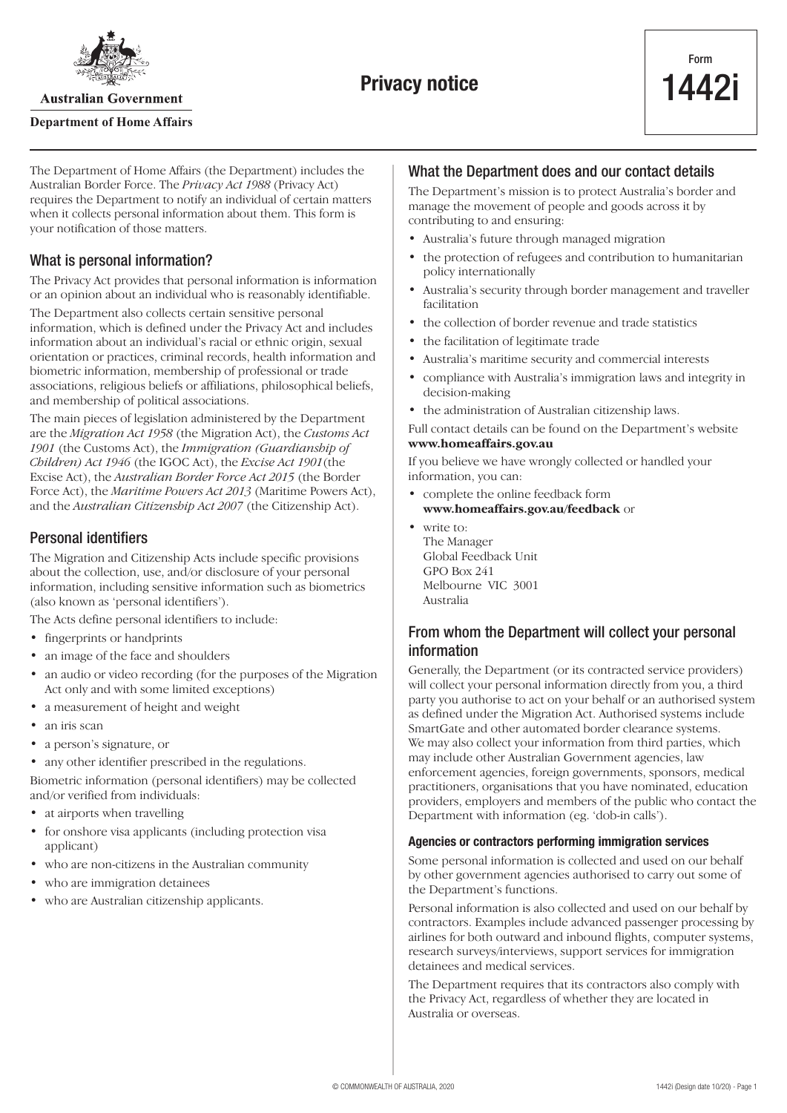

**Australian Government** 

### **Department of Home Affairs**

The Department of Home Affairs (the Department) includes the Australian Border Force. The *Privacy Act 1988* (Privacy Act) requires the Department to notify an individual of certain matters when it collects personal information about them. This form is your notification of those matters.

# What is personal information?

The Privacy Act provides that personal information is information or an opinion about an individual who is reasonably identifiable.

The Department also collects certain sensitive personal information, which is defined under the Privacy Act and includes information about an individual's racial or ethnic origin, sexual orientation or practices, criminal records, health information and biometric information, membership of professional or trade associations, religious beliefs or affiliations, philosophical beliefs, and membership of political associations.

The main pieces of legislation administered by the Department are the *Migration Act 1958* (the Migration Act), the *Customs Act 1901* (the Customs Act), the *Immigration (Guardianship of Children) Act 1946* (the IGOC Act), the *Excise Act 1901*(the Excise Act), the *Australian Border Force Act 2015* (the Border Force Act), the *Maritime Powers Act 2013* (Maritime Powers Act), and the *Australian Citizenship Act 2007* (the Citizenship Act).

# Personal identifiers

The Migration and Citizenship Acts include specific provisions about the collection, use, and/or disclosure of your personal information, including sensitive information such as biometrics (also known as 'personal identifiers').

The Acts define personal identifiers to include:

- fingerprints or handprints
- an image of the face and shoulders
- an audio or video recording (for the purposes of the Migration Act only and with some limited exceptions)
- a measurement of height and weight
- an iris scan
- a person's signature, or
- any other identifier prescribed in the regulations.

Biometric information (personal identifiers) may be collected and/or verified from individuals:

- at airports when travelling
- for onshore visa applicants (including protection visa applicant)
- who are non-citizens in the Australian community
- who are immigration detainees
- who are Australian citizenship applicants.

## What the Department does and our contact details

The Department's mission is to protect Australia's border and manage the movement of people and goods across it by contributing to and ensuring:

- Australia's future through managed migration
- the protection of refugees and contribution to humanitarian policy internationally
- Australia's security through border management and traveller facilitation
- the collection of border revenue and trade statistics
- the facilitation of legitimate trade
- Australia's maritime security and commercial interests
- compliance with Australia's immigration laws and integrity in decision-making
- the administration of Australian citizenship laws.

Full contact details can be found on the Department's website **[www.homeaffairs.gov.au](http://www.homeaffairs.gov.au)**

If you believe we have wrongly collected or handled your information, you can:

- complete the online feedback form
- **[www.homeaffairs.gov.au/feedback](http://www.homeaffairs.gov.au/feedback)** or
- write to: The Manager Global Feedback Unit GPO Box 241 Melbourne VIC 3001 Australia

# From whom the Department will collect your personal information

Generally, the Department (or its contracted service providers) will collect your personal information directly from you, a third party you authorise to act on your behalf or an authorised system as defined under the Migration Act. Authorised systems include SmartGate and other automated border clearance systems. We may also collect your information from third parties, which may include other Australian Government agencies, law enforcement agencies, foreign governments, sponsors, medical practitioners, organisations that you have nominated, education providers, employers and members of the public who contact the Department with information (eg. 'dob-in calls').

#### **Agencies or contractors performing immigration services**

Some personal information is collected and used on our behalf by other government agencies authorised to carry out some of the Department's functions.

Personal information is also collected and used on our behalf by contractors. Examples include advanced passenger processing by airlines for both outward and inbound flights, computer systems, research surveys/interviews, support services for immigration detainees and medical services.

The Department requires that its contractors also comply with the Privacy Act, regardless of whether they are located in Australia or overseas.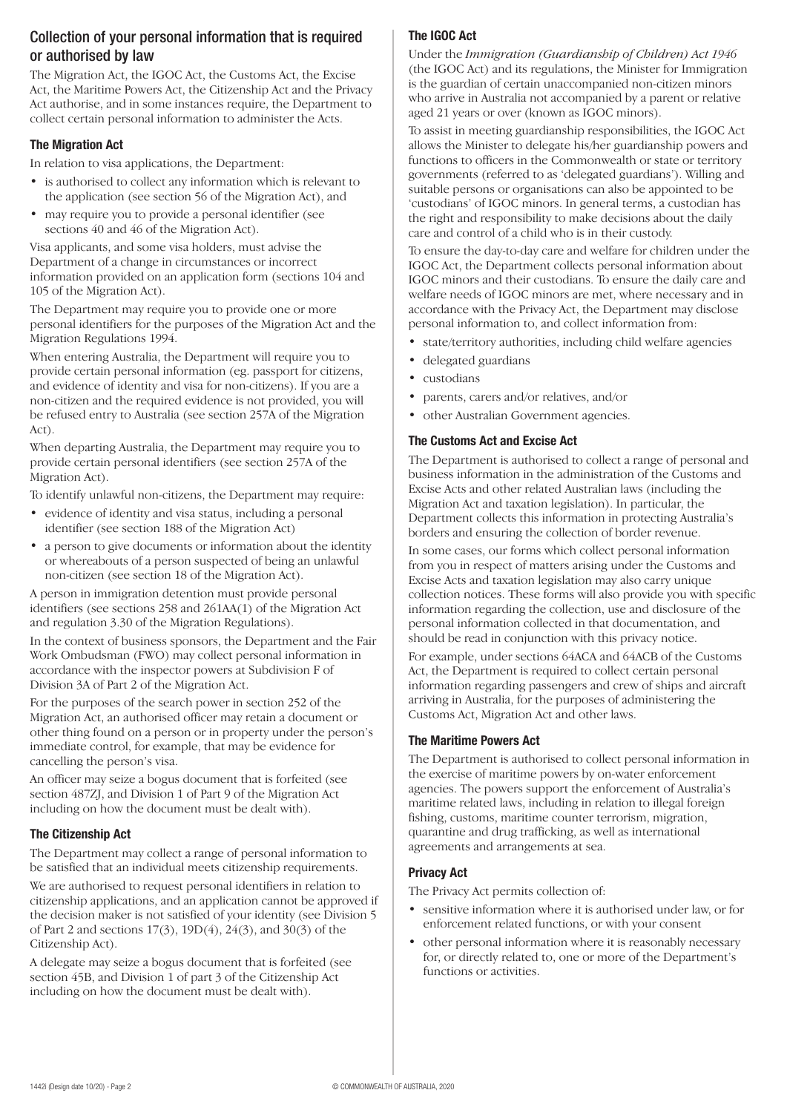# Collection of your personal information that is required or authorised by law

The Migration Act, the IGOC Act, the Customs Act, the Excise Act, the Maritime Powers Act, the Citizenship Act and the Privacy Act authorise, and in some instances require, the Department to collect certain personal information to administer the Acts.

## **The Migration Act**

In relation to visa applications, the Department:

- is authorised to collect any information which is relevant to the application (see section 56 of the Migration Act), and
- may require you to provide a personal identifier (see sections 40 and 46 of the Migration Act).

Visa applicants, and some visa holders, must advise the Department of a change in circumstances or incorrect information provided on an application form (sections 104 and 105 of the Migration Act).

The Department may require you to provide one or more personal identifiers for the purposes of the Migration Act and the Migration Regulations 1994.

When entering Australia, the Department will require you to provide certain personal information (eg. passport for citizens, and evidence of identity and visa for non-citizens). If you are a non-citizen and the required evidence is not provided, you will be refused entry to Australia (see section 257A of the Migration Act).

When departing Australia, the Department may require you to provide certain personal identifiers (see section 257A of the Migration Act).

To identify unlawful non-citizens, the Department may require:

- evidence of identity and visa status, including a personal identifier (see section 188 of the Migration Act)
- a person to give documents or information about the identity or whereabouts of a person suspected of being an unlawful non-citizen (see section 18 of the Migration Act).

A person in immigration detention must provide personal identifiers (see sections 258 and 261AA(1) of the Migration Act and regulation 3.30 of the Migration Regulations).

In the context of business sponsors, the Department and the Fair Work Ombudsman (FWO) may collect personal information in accordance with the inspector powers at Subdivision F of Division 3A of Part 2 of the Migration Act.

For the purposes of the search power in section 252 of the Migration Act, an authorised officer may retain a document or other thing found on a person or in property under the person's immediate control, for example, that may be evidence for cancelling the person's visa.

An officer may seize a bogus document that is forfeited (see section 487ZJ, and Division 1 of Part 9 of the Migration Act including on how the document must be dealt with).

## **The Citizenship Act**

The Department may collect a range of personal information to be satisfied that an individual meets citizenship requirements.

We are authorised to request personal identifiers in relation to citizenship applications, and an application cannot be approved if the decision maker is not satisfied of your identity (see Division 5 of Part 2 and sections 17(3), 19D(4), 24(3), and 30(3) of the Citizenship Act).

A delegate may seize a bogus document that is forfeited (see section 45B, and Division 1 of part 3 of the Citizenship Act including on how the document must be dealt with).

## **The IGOC Act**

Under the *Immigration (Guardianship of Children) Act 1946* (the IGOC Act) and its regulations, the Minister for Immigration is the guardian of certain unaccompanied non-citizen minors who arrive in Australia not accompanied by a parent or relative aged 21 years or over (known as IGOC minors).

To assist in meeting guardianship responsibilities, the IGOC Act allows the Minister to delegate his/her guardianship powers and functions to officers in the Commonwealth or state or territory governments (referred to as 'delegated guardians'). Willing and suitable persons or organisations can also be appointed to be 'custodians' of IGOC minors. In general terms, a custodian has the right and responsibility to make decisions about the daily care and control of a child who is in their custody.

To ensure the day-to-day care and welfare for children under the IGOC Act, the Department collects personal information about IGOC minors and their custodians. To ensure the daily care and welfare needs of IGOC minors are met, where necessary and in accordance with the Privacy Act, the Department may disclose personal information to, and collect information from:

- state/territory authorities, including child welfare agencies
- delegated guardians
- custodians
- parents, carers and/or relatives, and/or
- other Australian Government agencies.

## **The Customs Act and Excise Act**

The Department is authorised to collect a range of personal and business information in the administration of the Customs and Excise Acts and other related Australian laws (including the Migration Act and taxation legislation). In particular, the Department collects this information in protecting Australia's borders and ensuring the collection of border revenue.

In some cases, our forms which collect personal information from you in respect of matters arising under the Customs and Excise Acts and taxation legislation may also carry unique collection notices. These forms will also provide you with specific information regarding the collection, use and disclosure of the personal information collected in that documentation, and should be read in conjunction with this privacy notice.

For example, under sections 64ACA and 64ACB of the Customs Act, the Department is required to collect certain personal information regarding passengers and crew of ships and aircraft arriving in Australia, for the purposes of administering the Customs Act, Migration Act and other laws.

## **The Maritime Powers Act**

The Department is authorised to collect personal information in the exercise of maritime powers by on-water enforcement agencies. The powers support the enforcement of Australia's maritime related laws, including in relation to illegal foreign fishing, customs, maritime counter terrorism, migration, quarantine and drug trafficking, as well as international agreements and arrangements at sea.

## **Privacy Act**

The Privacy Act permits collection of:

- sensitive information where it is authorised under law, or for enforcement related functions, or with your consent
- other personal information where it is reasonably necessary for, or directly related to, one or more of the Department's functions or activities.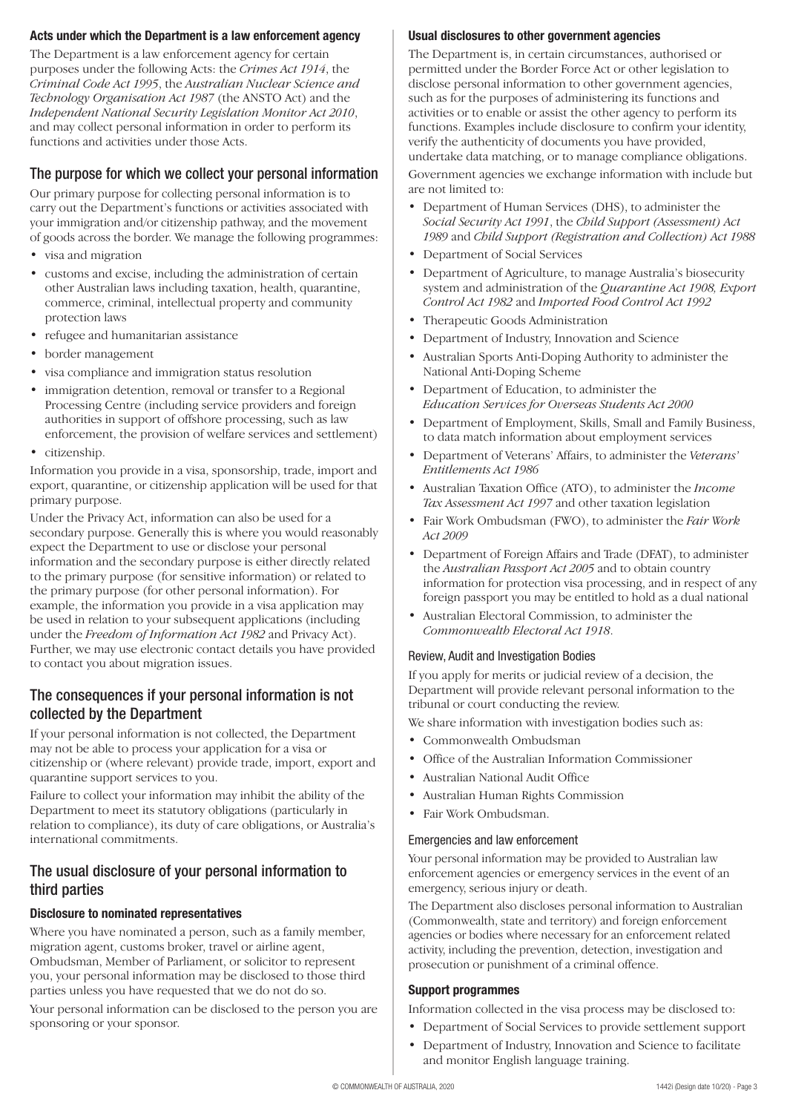## **Acts under which the Department is a law enforcement agency**

The Department is a law enforcement agency for certain purposes under the following Acts: the *Crimes Act 1914*, the *Criminal Code Act 1995*, the *Australian Nuclear Science and Technology Organisation Act 1987* (the ANSTO Act) and the *Independent National Security Legislation Monitor Act 2010*, and may collect personal information in order to perform its functions and activities under those Acts.

# The purpose for which we collect your personal information

Our primary purpose for collecting personal information is to carry out the Department's functions or activities associated with your immigration and/or citizenship pathway, and the movement of goods across the border. We manage the following programmes:

- visa and migration
- customs and excise, including the administration of certain other Australian laws including taxation, health, quarantine, commerce, criminal, intellectual property and community protection laws
- refugee and humanitarian assistance
- border management
- visa compliance and immigration status resolution
- immigration detention, removal or transfer to a Regional Processing Centre (including service providers and foreign authorities in support of offshore processing, such as law enforcement, the provision of welfare services and settlement)
- citizenship.

Information you provide in a visa, sponsorship, trade, import and export, quarantine, or citizenship application will be used for that primary purpose.

Under the Privacy Act, information can also be used for a secondary purpose. Generally this is where you would reasonably expect the Department to use or disclose your personal information and the secondary purpose is either directly related to the primary purpose (for sensitive information) or related to the primary purpose (for other personal information). For example, the information you provide in a visa application may be used in relation to your subsequent applications (including under the *Freedom of Information Act 1982* and Privacy Act). Further, we may use electronic contact details you have provided to contact you about migration issues.

# The consequences if your personal information is not collected by the Department

If your personal information is not collected, the Department may not be able to process your application for a visa or citizenship or (where relevant) provide trade, import, export and quarantine support services to you.

Failure to collect your information may inhibit the ability of the Department to meet its statutory obligations (particularly in relation to compliance), its duty of care obligations, or Australia's international commitments.

# The usual disclosure of your personal information to third parties

## **Disclosure to nominated representatives**

Where you have nominated a person, such as a family member, migration agent, customs broker, travel or airline agent, Ombudsman, Member of Parliament, or solicitor to represent you, your personal information may be disclosed to those third parties unless you have requested that we do not do so.

Your personal information can be disclosed to the person you are sponsoring or your sponsor.

## **Usual disclosures to other government agencies**

The Department is, in certain circumstances, authorised or permitted under the Border Force Act or other legislation to disclose personal information to other government agencies, such as for the purposes of administering its functions and activities or to enable or assist the other agency to perform its functions. Examples include disclosure to confirm your identity, verify the authenticity of documents you have provided, undertake data matching, or to manage compliance obligations.

Government agencies we exchange information with include but are not limited to:

- Department of Human Services (DHS), to administer the *Social Security Act 1991*, the *Child Support (Assessment) Act 1989* and *Child Support (Registration and Collection) Act 1988*
- Department of Social Services
- Department of Agriculture, to manage Australia's biosecurity system and administration of the *Quarantine Act 1908, Export Control Act 1982* and *Imported Food Control Act 1992*
- Therapeutic Goods Administration
- Department of Industry, Innovation and Science
- Australian Sports Anti-Doping Authority to administer the National Anti-Doping Scheme
- Department of Education, to administer the *Education Services for Overseas Students Act 2000*
- Department of Employment, Skills, Small and Family Business, to data match information about employment services
- Department of Veterans' Affairs, to administer the *Veterans' Entitlements Act 1986*
- Australian Taxation Office (ATO), to administer the *Income Tax Assessment Act 1997* and other taxation legislation
- Fair Work Ombudsman (FWO), to administer the *Fair Work Act 2009*
- Department of Foreign Affairs and Trade (DFAT), to administer the *Australian Passport Act 2005* and to obtain country information for protection visa processing, and in respect of any foreign passport you may be entitled to hold as a dual national
- Australian Electoral Commission, to administer the *Commonwealth Electoral Act 1918*.

## Review, Audit and Investigation Bodies

If you apply for merits or judicial review of a decision, the Department will provide relevant personal information to the tribunal or court conducting the review.

We share information with investigation bodies such as:

- Commonwealth Ombudsman
- Office of the Australian Information Commissioner
- Australian National Audit Office
- Australian Human Rights Commission
- Fair Work Ombudsman.

## Emergencies and law enforcement

Your personal information may be provided to Australian law enforcement agencies or emergency services in the event of an emergency, serious injury or death.

The Department also discloses personal information to Australian (Commonwealth, state and territory) and foreign enforcement agencies or bodies where necessary for an enforcement related activity, including the prevention, detection, investigation and prosecution or punishment of a criminal offence.

## **Support programmes**

Information collected in the visa process may be disclosed to:

- Department of Social Services to provide settlement support
- Department of Industry, Innovation and Science to facilitate and monitor English language training.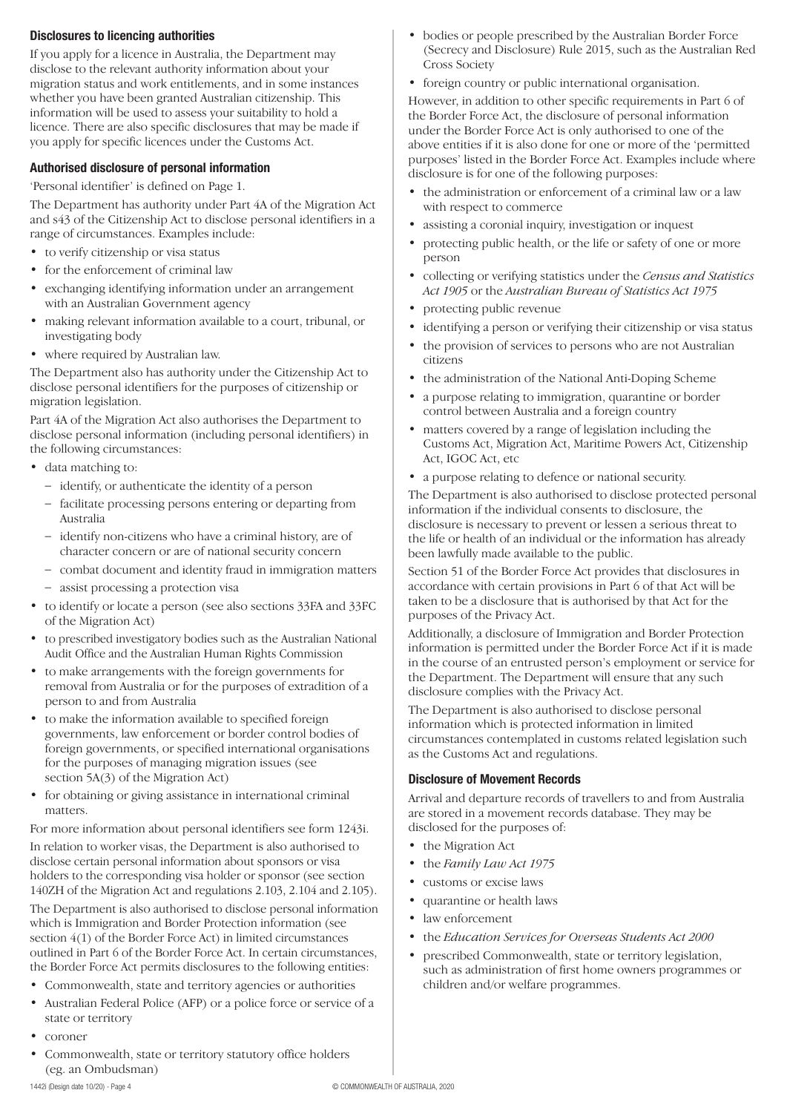## **Disclosures to licencing authorities**

If you apply for a licence in Australia, the Department may disclose to the relevant authority information about your migration status and work entitlements, and in some instances whether you have been granted Australian citizenship. This information will be used to assess your suitability to hold a licence. There are also specific disclosures that may be made if you apply for specific licences under the Customs Act.

#### **Authorised disclosure of personal information**

'Personal identifier' is defined on Page 1.

The Department has authority under Part 4A of the Migration Act and s43 of the Citizenship Act to disclose personal identifiers in a range of circumstances. Examples include:

- to verify citizenship or visa status
- for the enforcement of criminal law
- exchanging identifying information under an arrangement with an Australian Government agency
- making relevant information available to a court, tribunal, or investigating body
- where required by Australian law.

The Department also has authority under the Citizenship Act to disclose personal identifiers for the purposes of citizenship or migration legislation.

Part 4A of the Migration Act also authorises the Department to disclose personal information (including personal identifiers) in the following circumstances:

- data matching to:
	- identify, or authenticate the identity of a person
	- facilitate processing persons entering or departing from Australia
	- identify non-citizens who have a criminal history, are of character concern or are of national security concern
	- combat document and identity fraud in immigration matters
	- assist processing a protection visa
- to identify or locate a person (see also sections 33FA and 33FC of the Migration Act)
- to prescribed investigatory bodies such as the Australian National Audit Office and the Australian Human Rights Commission
- to make arrangements with the foreign governments for removal from Australia or for the purposes of extradition of a person to and from Australia
- to make the information available to specified foreign governments, law enforcement or border control bodies of foreign governments, or specified international organisations for the purposes of managing migration issues (see section 5A(3) of the Migration Act)
- for obtaining or giving assistance in international criminal matters.

For more information about personal identifiers see form 1243i.

In relation to worker visas, the Department is also authorised to disclose certain personal information about sponsors or visa holders to the corresponding visa holder or sponsor (see section 140ZH of the Migration Act and regulations 2.103, 2.104 and 2.105).

The Department is also authorised to disclose personal information which is Immigration and Border Protection information (see section 4(1) of the Border Force Act) in limited circumstances outlined in Part 6 of the Border Force Act. In certain circumstances, the Border Force Act permits disclosures to the following entities:

- Commonwealth, state and territory agencies or authorities
- Australian Federal Police (AFP) or a police force or service of a state or territory
- coroner
- Commonwealth, state or territory statutory office holders (eg. an Ombudsman)
- 
- bodies or people prescribed by the Australian Border Force (Secrecy and Disclosure) Rule 2015, such as the Australian Red Cross Society
- foreign country or public international organisation.

However, in addition to other specific requirements in Part 6 of the Border Force Act, the disclosure of personal information under the Border Force Act is only authorised to one of the above entities if it is also done for one or more of the 'permitted purposes' listed in the Border Force Act. Examples include where disclosure is for one of the following purposes:

- the administration or enforcement of a criminal law or a law with respect to commerce
- assisting a coronial inquiry, investigation or inquest
- protecting public health, or the life or safety of one or more person
- collecting or verifying statistics under the *Census and Statistics Act 1905* or the *Australian Bureau of Statistics Act 1975*
- protecting public revenue
- identifying a person or verifying their citizenship or visa status
- the provision of services to persons who are not Australian citizens
- the administration of the National Anti-Doping Scheme
- a purpose relating to immigration, quarantine or border control between Australia and a foreign country
- matters covered by a range of legislation including the Customs Act, Migration Act, Maritime Powers Act, Citizenship Act, IGOC Act, etc
- a purpose relating to defence or national security.

The Department is also authorised to disclose protected personal information if the individual consents to disclosure, the disclosure is necessary to prevent or lessen a serious threat to the life or health of an individual or the information has already been lawfully made available to the public.

Section 51 of the Border Force Act provides that disclosures in accordance with certain provisions in Part 6 of that Act will be taken to be a disclosure that is authorised by that Act for the purposes of the Privacy Act.

Additionally, a disclosure of Immigration and Border Protection information is permitted under the Border Force Act if it is made in the course of an entrusted person's employment or service for the Department. The Department will ensure that any such disclosure complies with the Privacy Act.

The Department is also authorised to disclose personal information which is protected information in limited circumstances contemplated in customs related legislation such as the Customs Act and regulations.

#### **Disclosure of Movement Records**

Arrival and departure records of travellers to and from Australia are stored in a movement records database. They may be disclosed for the purposes of:

- the Migration Act
- the *Family Law Act 1975*
- customs or excise laws
- quarantine or health laws
- law enforcement
- the *Education Services for Overseas Students Act 2000*
- prescribed Commonwealth, state or territory legislation, such as administration of first home owners programmes or children and/or welfare programmes.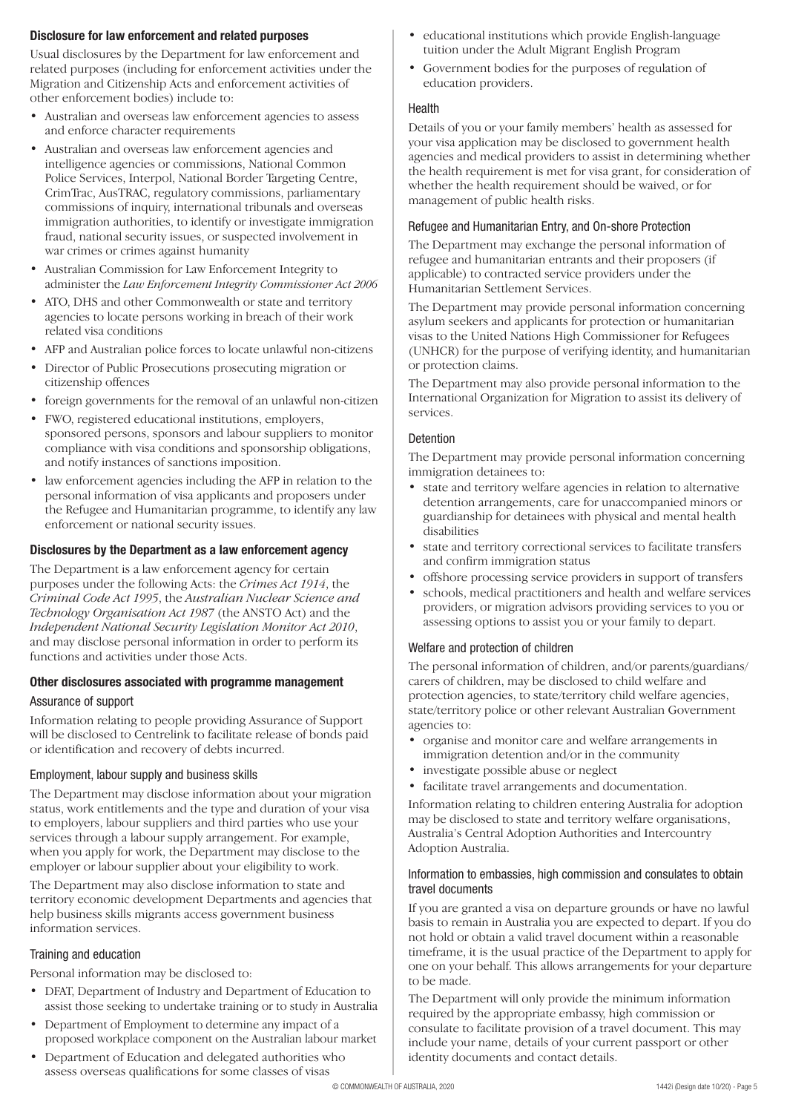## **Disclosure for law enforcement and related purposes**

Usual disclosures by the Department for law enforcement and related purposes (including for enforcement activities under the Migration and Citizenship Acts and enforcement activities of other enforcement bodies) include to:

- Australian and overseas law enforcement agencies to assess and enforce character requirements
- Australian and overseas law enforcement agencies and intelligence agencies or commissions, National Common Police Services, Interpol, National Border Targeting Centre, CrimTrac, AusTRAC, regulatory commissions, parliamentary commissions of inquiry, international tribunals and overseas immigration authorities, to identify or investigate immigration fraud, national security issues, or suspected involvement in war crimes or crimes against humanity
- Australian Commission for Law Enforcement Integrity to administer the *Law Enforcement Integrity Commissioner Act 2006*
- ATO, DHS and other Commonwealth or state and territory agencies to locate persons working in breach of their work related visa conditions
- AFP and Australian police forces to locate unlawful non-citizens
- Director of Public Prosecutions prosecuting migration or citizenship offences
- foreign governments for the removal of an unlawful non-citizen
- FWO, registered educational institutions, employers, sponsored persons, sponsors and labour suppliers to monitor compliance with visa conditions and sponsorship obligations, and notify instances of sanctions imposition.
- law enforcement agencies including the AFP in relation to the personal information of visa applicants and proposers under the Refugee and Humanitarian programme, to identify any law enforcement or national security issues.

### **Disclosures by the Department as a law enforcement agency**

The Department is a law enforcement agency for certain purposes under the following Acts: the *Crimes Act 1914*, the *Criminal Code Act 1995*, the *Australian Nuclear Science and Technology Organisation Act 1987* (the ANSTO Act) and the *Independent National Security Legislation Monitor Act 2010*, and may disclose personal information in order to perform its functions and activities under those Acts.

# **Other disclosures associated with programme management**

#### Assurance of support

Information relating to people providing Assurance of Support will be disclosed to Centrelink to facilitate release of bonds paid or identification and recovery of debts incurred.

#### Employment, labour supply and business skills

The Department may disclose information about your migration status, work entitlements and the type and duration of your visa to employers, labour suppliers and third parties who use your services through a labour supply arrangement. For example, when you apply for work, the Department may disclose to the employer or labour supplier about your eligibility to work.

The Department may also disclose information to state and territory economic development Departments and agencies that help business skills migrants access government business information services.

#### Training and education

Personal information may be disclosed to:

- DFAT, Department of Industry and Department of Education to assist those seeking to undertake training or to study in Australia
- Department of Employment to determine any impact of a proposed workplace component on the Australian labour market
- Department of Education and delegated authorities who assess overseas qualifications for some classes of visas
- educational institutions which provide English-language tuition under the Adult Migrant English Program
- Government bodies for the purposes of regulation of education providers.

#### Health

Details of you or your family members' health as assessed for your visa application may be disclosed to government health agencies and medical providers to assist in determining whether the health requirement is met for visa grant, for consideration of whether the health requirement should be waived, or for management of public health risks.

#### Refugee and Humanitarian Entry, and On-shore Protection

The Department may exchange the personal information of refugee and humanitarian entrants and their proposers (if applicable) to contracted service providers under the Humanitarian Settlement Services.

The Department may provide personal information concerning asylum seekers and applicants for protection or humanitarian visas to the United Nations High Commissioner for Refugees (UNHCR) for the purpose of verifying identity, and humanitarian or protection claims.

The Department may also provide personal information to the International Organization for Migration to assist its delivery of services.

#### Detention

The Department may provide personal information concerning immigration detainees to:

- state and territory welfare agencies in relation to alternative detention arrangements, care for unaccompanied minors or guardianship for detainees with physical and mental health disabilities
- state and territory correctional services to facilitate transfers and confirm immigration status
- offshore processing service providers in support of transfers
- schools, medical practitioners and health and welfare services providers, or migration advisors providing services to you or assessing options to assist you or your family to depart.

#### Welfare and protection of children

The personal information of children, and/or parents/guardians/ carers of children, may be disclosed to child welfare and protection agencies, to state/territory child welfare agencies, state/territory police or other relevant Australian Government agencies to:

- organise and monitor care and welfare arrangements in immigration detention and/or in the community
- investigate possible abuse or neglect
- facilitate travel arrangements and documentation.

Information relating to children entering Australia for adoption may be disclosed to state and territory welfare organisations, Australia's Central Adoption Authorities and Intercountry Adoption Australia.

#### Information to embassies, high commission and consulates to obtain travel documents

If you are granted a visa on departure grounds or have no lawful basis to remain in Australia you are expected to depart. If you do not hold or obtain a valid travel document within a reasonable timeframe, it is the usual practice of the Department to apply for one on your behalf. This allows arrangements for your departure to be made.

The Department will only provide the minimum information required by the appropriate embassy, high commission or consulate to facilitate provision of a travel document. This may include your name, details of your current passport or other identity documents and contact details.